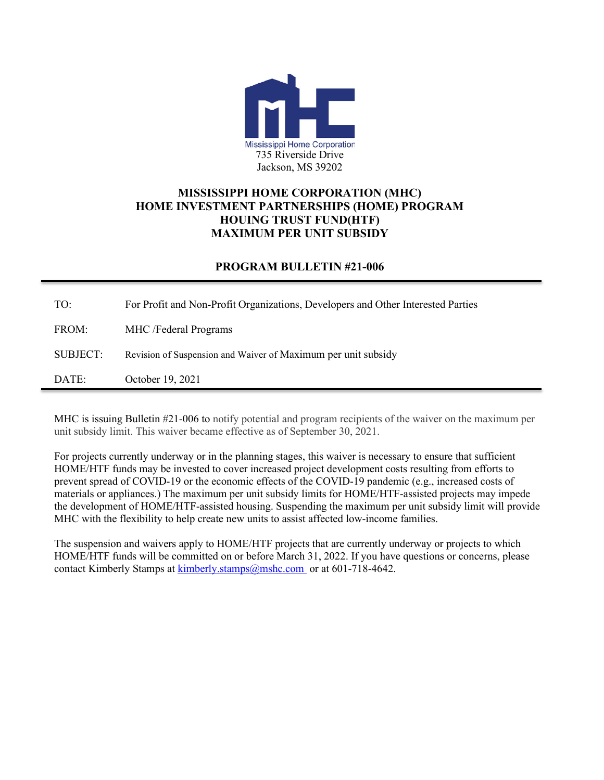

## **MISSISSIPPI HOME CORPORATION (MHC) HOME INVESTMENT PARTNERSHIPS (HOME) PROGRAM HOUING TRUST FUND(HTF) MAXIMUM PER UNIT SUBSIDY**

## **PROGRAM BULLETIN #21-006**

TO: For Profit and Non-Profit Organizations, Developers and Other Interested Parties FROM: MHC /Federal Programs SUBJECT: Revision of Suspension and Waiver of Maximum per unit subsidy DATE: October 19, 2021

MHC is issuing Bulletin #21-006 to notify potential and program recipients of the waiver on the maximum per unit subsidy limit. This waiver became effective as of September 30, 2021.

For projects currently underway or in the planning stages, this waiver is necessary to ensure that sufficient HOME/HTF funds may be invested to cover increased project development costs resulting from efforts to prevent spread of COVID-19 or the economic effects of the COVID-19 pandemic (e.g., increased costs of materials or appliances.) The maximum per unit subsidy limits for HOME/HTF-assisted projects may impede the development of HOME/HTF-assisted housing. Suspending the maximum per unit subsidy limit will provide MHC with the flexibility to help create new units to assist affected low-income families.

The suspension and waivers apply to HOME/HTF projects that are currently underway or projects to which HOME/HTF funds will be committed on or before March 31, 2022. If you have questions or concerns, please contact Kimberly Stamps at [kimberly.stamps@mshc.com](mailto:Jackie.cobbins@mshc.com) or at 601-718-4642.